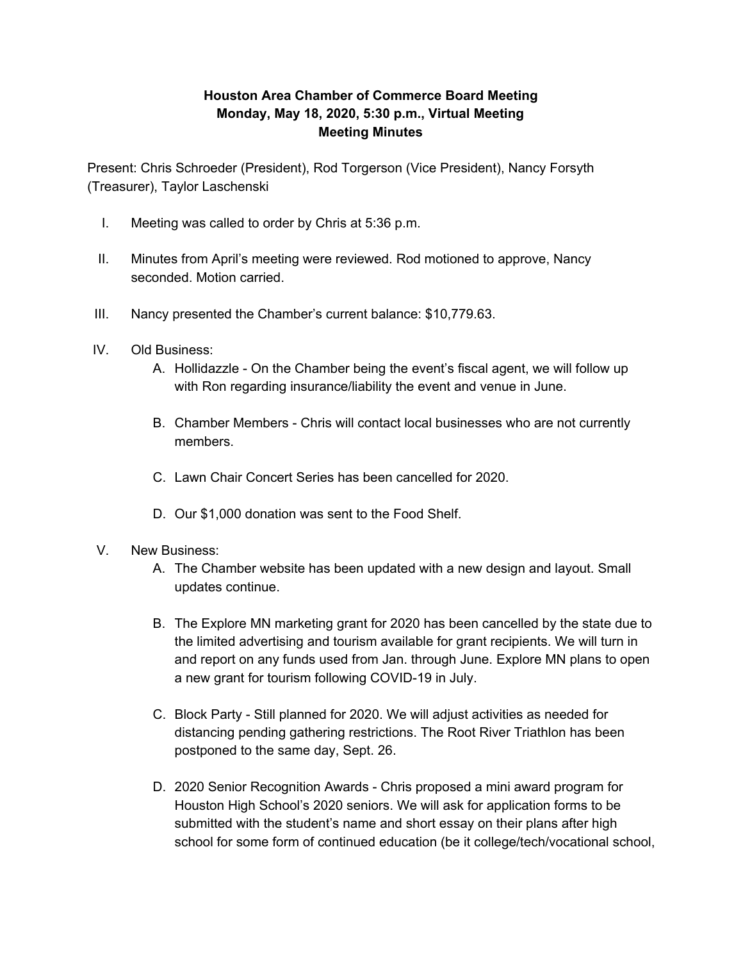## **Houston Area Chamber of Commerce Board Meeting Monday, May 18, 2020, 5:30 p.m., Virtual Meeting Meeting Minutes**

Present: Chris Schroeder (President), Rod Torgerson (Vice President), Nancy Forsyth (Treasurer), Taylor Laschenski

- I. Meeting was called to order by Chris at 5:36 p.m.
- II. Minutes from April's meeting were reviewed. Rod motioned to approve, Nancy seconded. Motion carried.
- III. Nancy presented the Chamber's current balance: \$10,779.63.
- IV. Old Business:
	- A. Hollidazzle On the Chamber being the event's fiscal agent, we will follow up with Ron regarding insurance/liability the event and venue in June.
	- B. Chamber Members Chris will contact local businesses who are not currently members.
	- C. Lawn Chair Concert Series has been cancelled for 2020.
	- D. Our \$1,000 donation was sent to the Food Shelf.
- V. New Business:
	- A. The Chamber website has been updated with a new design and layout. Small updates continue.
	- B. The Explore MN marketing grant for 2020 has been cancelled by the state due to the limited advertising and tourism available for grant recipients. We will turn in and report on any funds used from Jan. through June. Explore MN plans to open a new grant for tourism following COVID-19 in July.
	- C. Block Party Still planned for 2020. We will adjust activities as needed for distancing pending gathering restrictions. The Root River Triathlon has been postponed to the same day, Sept. 26.
	- D. 2020 Senior Recognition Awards Chris proposed a mini award program for Houston High School's 2020 seniors. We will ask for application forms to be submitted with the student's name and short essay on their plans after high school for some form of continued education (be it college/tech/vocational school,